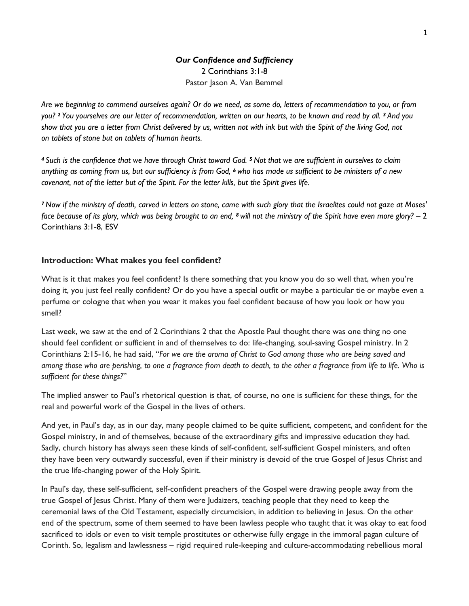# *Our Confidence and Sufficiency* 2 Corinthians 3:1-8 Pastor Jason A. Van Bemmel

*Are we beginning to commend ourselves again? Or do we need, as some do, letters of recommendation to you, or from you? <sup>2</sup> You yourselves are our letter of recommendation, written on our hearts, to be known and read by all. <sup>3</sup> And you show that you are a letter from Christ delivered by us, written not with ink but with the Spirit of the living God, not on tablets of stone but on tablets of human hearts.*

*<sup>4</sup> Such is the confidence that we have through Christ toward God. <sup>5</sup> Not that we are sufficient in ourselves to claim anything as coming from us, but our sufficiency is from God, <sup>6</sup> who has made us sufficient to be ministers of a new covenant, not of the letter but of the Spirit. For the letter kills, but the Spirit gives life.*

*<sup>7</sup> Now if the ministry of death, carved in letters on stone, came with such glory that the Israelites could not gaze at Moses' face because of its glory, which was being brought to an end, <sup>8</sup> will not the ministry of the Spirit have even more glory?* – 2 Corinthians 3:1-8, ESV

### **Introduction: What makes you feel confident?**

What is it that makes you feel confident? Is there something that you know you do so well that, when you're doing it, you just feel really confident? Or do you have a special outfit or maybe a particular tie or maybe even a perfume or cologne that when you wear it makes you feel confident because of how you look or how you smell?

Last week, we saw at the end of 2 Corinthians 2 that the Apostle Paul thought there was one thing no one should feel confident or sufficient in and of themselves to do: life-changing, soul-saving Gospel ministry. In 2 Corinthians 2:15-16, he had said, "*For we are the aroma of Christ to God among those who are being saved and among those who are perishing, to one a fragrance from death to death, to the other a fragrance from life to life. Who is sufficient for these things?*"

The implied answer to Paul's rhetorical question is that, of course, no one is sufficient for these things, for the real and powerful work of the Gospel in the lives of others.

And yet, in Paul's day, as in our day, many people claimed to be quite sufficient, competent, and confident for the Gospel ministry, in and of themselves, because of the extraordinary gifts and impressive education they had. Sadly, church history has always seen these kinds of self-confident, self-sufficient Gospel ministers, and often they have been very outwardly successful, even if their ministry is devoid of the true Gospel of Jesus Christ and the true life-changing power of the Holy Spirit.

In Paul's day, these self-sufficient, self-confident preachers of the Gospel were drawing people away from the true Gospel of Jesus Christ. Many of them were Judaizers, teaching people that they need to keep the ceremonial laws of the Old Testament, especially circumcision, in addition to believing in Jesus. On the other end of the spectrum, some of them seemed to have been lawless people who taught that it was okay to eat food sacrificed to idols or even to visit temple prostitutes or otherwise fully engage in the immoral pagan culture of Corinth. So, legalism and lawlessness – rigid required rule-keeping and culture-accommodating rebellious moral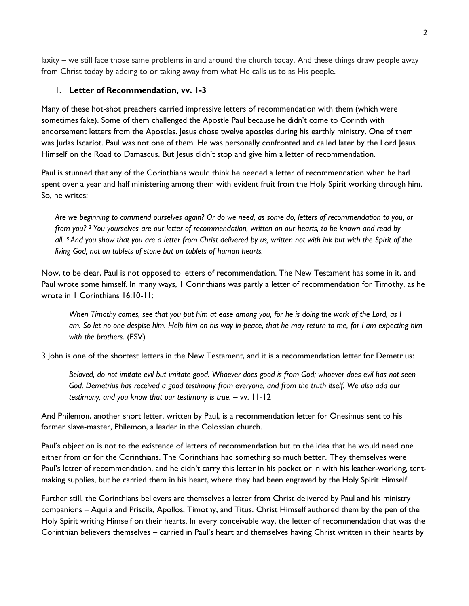laxity – we still face those same problems in and around the church today, And these things draw people away from Christ today by adding to or taking away from what He calls us to as His people.

# 1. **Letter of Recommendation, vv. 1-3**

Many of these hot-shot preachers carried impressive letters of recommendation with them (which were sometimes fake). Some of them challenged the Apostle Paul because he didn't come to Corinth with endorsement letters from the Apostles. Jesus chose twelve apostles during his earthly ministry. One of them was Judas Iscariot. Paul was not one of them. He was personally confronted and called later by the Lord Jesus Himself on the Road to Damascus. But Jesus didn't stop and give him a letter of recommendation.

Paul is stunned that any of the Corinthians would think he needed a letter of recommendation when he had spent over a year and half ministering among them with evident fruit from the Holy Spirit working through him. So, he writes:

*Are we beginning to commend ourselves again? Or do we need, as some do, letters of recommendation to you, or from you? <sup>2</sup> You yourselves are our letter of recommendation, written on our hearts, to be known and read by all. <sup>3</sup> And you show that you are a letter from Christ delivered by us, written not with ink but with the Spirit of the living God, not on tablets of stone but on tablets of human hearts.*

Now, to be clear, Paul is not opposed to letters of recommendation. The New Testament has some in it, and Paul wrote some himself. In many ways, 1 Corinthians was partly a letter of recommendation for Timothy, as he wrote in 1 Corinthians 16:10-11:

*When Timothy comes, see that you put him at ease among you, for he is doing the work of the Lord, as I am. So let no one despise him. Help him on his way in peace, that he may return to me, for I am expecting him with the brothers*. (ESV)

3 John is one of the shortest letters in the New Testament, and it is a recommendation letter for Demetrius:

*Beloved, do not imitate evil but imitate good. Whoever does good is from God; whoever does evil has not seen God. Demetrius has received a good testimony from everyone, and from the truth itself. We also add our testimony, and you know that our testimony is true.* – vv. 11-12

And Philemon, another short letter, written by Paul, is a recommendation letter for Onesimus sent to his former slave-master, Philemon, a leader in the Colossian church.

Paul's objection is not to the existence of letters of recommendation but to the idea that he would need one either from or for the Corinthians. The Corinthians had something so much better. They themselves were Paul's letter of recommendation, and he didn't carry this letter in his pocket or in with his leather-working, tentmaking supplies, but he carried them in his heart, where they had been engraved by the Holy Spirit Himself.

Further still, the Corinthians believers are themselves a letter from Christ delivered by Paul and his ministry companions – Aquila and Priscila, Apollos, Timothy, and Titus. Christ Himself authored them by the pen of the Holy Spirit writing Himself on their hearts. In every conceivable way, the letter of recommendation that was the Corinthian believers themselves – carried in Paul's heart and themselves having Christ written in their hearts by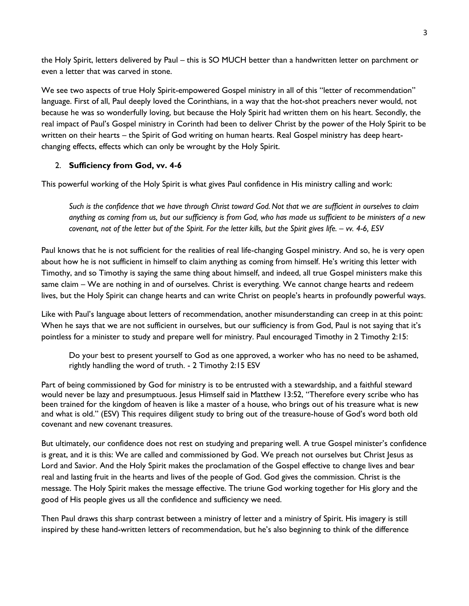the Holy Spirit, letters delivered by Paul – this is SO MUCH better than a handwritten letter on parchment or even a letter that was carved in stone.

We see two aspects of true Holy Spirit-empowered Gospel ministry in all of this "letter of recommendation" language. First of all, Paul deeply loved the Corinthians, in a way that the hot-shot preachers never would, not because he was so wonderfully loving, but because the Holy Spirit had written them on his heart. Secondly, the real impact of Paul's Gospel ministry in Corinth had been to deliver Christ by the power of the Holy Spirit to be written on their hearts – the Spirit of God writing on human hearts. Real Gospel ministry has deep heartchanging effects, effects which can only be wrought by the Holy Spirit.

## 2. **Sufficiency from God, vv. 4-6**

This powerful working of the Holy Spirit is what gives Paul confidence in His ministry calling and work:

*Such is the confidence that we have through Christ toward God. Not that we are sufficient in ourselves to claim anything as coming from us, but our sufficiency is from God, who has made us sufficient to be ministers of a new covenant, not of the letter but of the Spirit. For the letter kills, but the Spirit gives life. – vv. 4-6, ESV*

Paul knows that he is not sufficient for the realities of real life-changing Gospel ministry. And so, he is very open about how he is not sufficient in himself to claim anything as coming from himself. He's writing this letter with Timothy, and so Timothy is saying the same thing about himself, and indeed, all true Gospel ministers make this same claim – We are nothing in and of ourselves. Christ is everything. We cannot change hearts and redeem lives, but the Holy Spirit can change hearts and can write Christ on people's hearts in profoundly powerful ways.

Like with Paul's language about letters of recommendation, another misunderstanding can creep in at this point: When he says that we are not sufficient in ourselves, but our sufficiency is from God, Paul is not saying that it's pointless for a minister to study and prepare well for ministry. Paul encouraged Timothy in 2 Timothy 2:15:

[Do](https://bible.com/bible/59/mat.13.52.ESVDo) your best to present yourself to God as one approved, a worker who has no need to be ashamed, rightly handling the word of truth. - 2 Timothy 2:15 ESV

Part of being commissioned by God for ministry is to be entrusted with a stewardship, and a faithful steward would never be lazy and presumptuous. Jesus Himself said in Matthew 13:52, "Therefore every scribe who has been trained for the kingdom of heaven is like a master of a house, who brings out of his treasure what is new and what is old." (ESV) This requires diligent study to bring out of the treasure-house of God's word both old covenant and new covenant treasures.

But ultimately, our confidence does not rest on studying and preparing well. A true Gospel minister's confidence is great, and it is this: We are called and commissioned by God. We preach not ourselves but Christ Jesus as Lord and Savior. And the Holy Spirit makes the proclamation of the Gospel effective to change lives and bear real and lasting fruit in the hearts and lives of the people of God. God gives the commission. Christ is the message. The Holy Spirit makes the message effective. The triune God working together for His glory and the good of His people gives us all the confidence and sufficiency we need.

Then Paul draws this sharp contrast between a ministry of letter and a ministry of Spirit. His imagery is still inspired by these hand-written letters of recommendation, but he's also beginning to think of the difference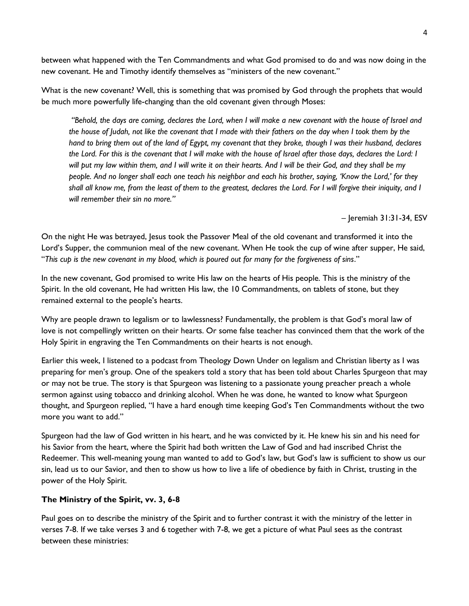between what happened with the Ten Commandments and what God promised to do and was now doing in the new covenant. He and Timothy identify themselves as "ministers of the new covenant."

What is the new covenant? Well, this is something that was promised by God through the prophets that would be much more powerfully life-changing than the old covenant given through Moses:

*"Behold, the days are coming, declares the Lord, when I will make a new covenant with the house of Israel and the house of Judah, not like the covenant that I made with their fathers on the day when I took them by the hand to bring them out of the land of Egypt, my covenant that they broke, though I was their husband, declares the Lord. For this is the covenant that I will make with the house of Israel after those days, declares the Lord: I will put my law within them, and I will write it on their hearts. And I will be their God, and they shall be my people. And no longer shall each one teach his neighbor and each his brother, saying, 'Know the Lord,' for they shall all know me, from the least of them to the greatest, declares the Lord. For I will forgive their iniquity, and I will remember their sin no more."*

– Jeremiah 31:31-34, ESV

On the night He was betrayed, Jesus took the Passover Meal of the old covenant and transformed it into the Lord's Supper, the communion meal of the new covenant. When He took the cup of wine after supper, He said, "*This cup is the new covenant in my blood, which is poured out for many for the forgiveness of sins*."

In the new covenant, God promised to write His law on the hearts of His people. This is the ministry of the Spirit. In the old covenant, He had written His law, the 10 Commandments, on tablets of stone, but they remained external to the people's hearts.

Why are people drawn to legalism or to lawlessness? Fundamentally, the problem is that God's moral law of love is not compellingly written on their hearts. Or some false teacher has convinced them that the work of the Holy Spirit in engraving the Ten Commandments on their hearts is not enough.

Earlier this week, I listened to a podcast from Theology Down Under on legalism and Christian liberty as I was preparing for men's group. One of the speakers told a story that has been told about Charles Spurgeon that may or may not be true. The story is that Spurgeon was listening to a passionate young preacher preach a whole sermon against using tobacco and drinking alcohol. When he was done, he wanted to know what Spurgeon thought, and Spurgeon replied, "I have a hard enough time keeping God's Ten Commandments without the two more you want to add."

Spurgeon had the law of God written in his heart, and he was convicted by it. He knew his sin and his need for his Savior from the heart, where the Spirit had both written the Law of God and had inscribed Christ the Redeemer. This well-meaning young man wanted to add to God's law, but God's law is sufficient to show us our sin, lead us to our Savior, and then to show us how to live a life of obedience by faith in Christ, trusting in the power of the Holy Spirit.

### **The Ministry of the Spirit, vv. 3, 6-8**

Paul goes on to describe the ministry of the Spirit and to further contrast it with the ministry of the letter in verses 7-8. If we take verses 3 and 6 together with 7-8, we get a picture of what Paul sees as the contrast between these ministries: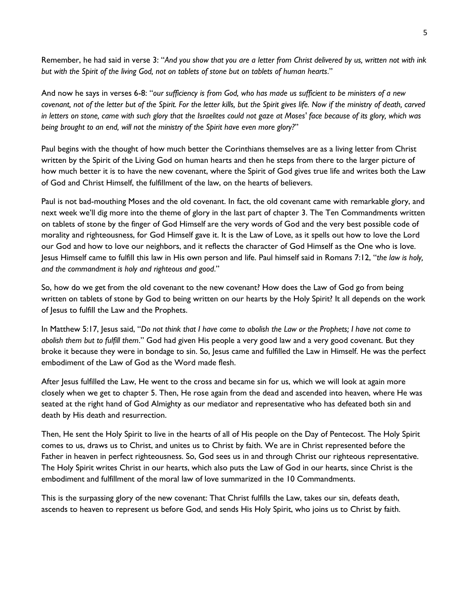Remember, he had said in verse 3: "*And you show that you are a letter from Christ delivered by us, written not with ink but with the Spirit of the living God, not on tablets of stone but on tablets of human hearts*."

And now he says in verses 6-8: "*our sufficiency is from God, who has made us sufficient to be ministers of a new covenant, not of the letter but of the Spirit. For the letter kills, but the Spirit gives life. Now if the ministry of death, carved in letters on stone, came with such glory that the Israelites could not gaze at Moses' face because of its glory, which was being brought to an end, will not the ministry of the Spirit have even more glory?*"

Paul begins with the thought of how much better the Corinthians themselves are as a living letter from Christ written by the Spirit of the Living God on human hearts and then he steps from there to the larger picture of how much better it is to have the new covenant, where the Spirit of God gives true life and writes both the Law of God and Christ Himself, the fulfillment of the law, on the hearts of believers.

Paul is not bad-mouthing Moses and the old covenant. In fact, the old covenant came with remarkable glory, and next week we'll dig more into the theme of glory in the last part of chapter 3. The Ten Commandments written on tablets of stone by the finger of God Himself are the very words of God and the very best possible code of morality and righteousness, for God Himself gave it. It is the Law of Love, as it spells out how to love the Lord our God and how to love our neighbors, and it reflects the character of God Himself as the One who is love. Jesus Himself came to fulfill this law in His own person and life. Paul himself said in Romans 7:12, "*the law is holy, and the commandment is holy and righteous and good*."

So, how do we get from the old covenant to the new covenant? How does the Law of God go from being written on tablets of stone by God to being written on our hearts by the Holy Spirit? It all depends on the work of Jesus to fulfill the Law and the Prophets.

In Matthew 5:17, Jesus said, "*Do not think that I have come to abolish the Law or the Prophets; I have not come to abolish them but to fulfill them*." God had given His people a very good law and a very good covenant. But they broke it because they were in bondage to sin. So, Jesus came and fulfilled the Law in Himself. He was the perfect embodiment of the Law of God as the Word made flesh.

After Jesus fulfilled the Law, He went to the cross and became sin for us, which we will look at again more closely when we get to chapter 5. Then, He rose again from the dead and ascended into heaven, where He was seated at the right hand of God Almighty as our mediator and representative who has defeated both sin and death by His death and resurrection.

Then, He sent the Holy Spirit to live in the hearts of all of His people on the Day of Pentecost. The Holy Spirit comes to us, draws us to Christ, and unites us to Christ by faith. We are in Christ represented before the Father in heaven in perfect righteousness. So, God sees us in and through Christ our righteous representative. The Holy Spirit writes Christ in our hearts, which also puts the Law of God in our hearts, since Christ is the embodiment and fulfillment of the moral law of love summarized in the 10 Commandments.

This is the surpassing glory of the new covenant: That Christ fulfills the Law, takes our sin, defeats death, ascends to heaven to represent us before God, and sends His Holy Spirit, who joins us to Christ by faith.